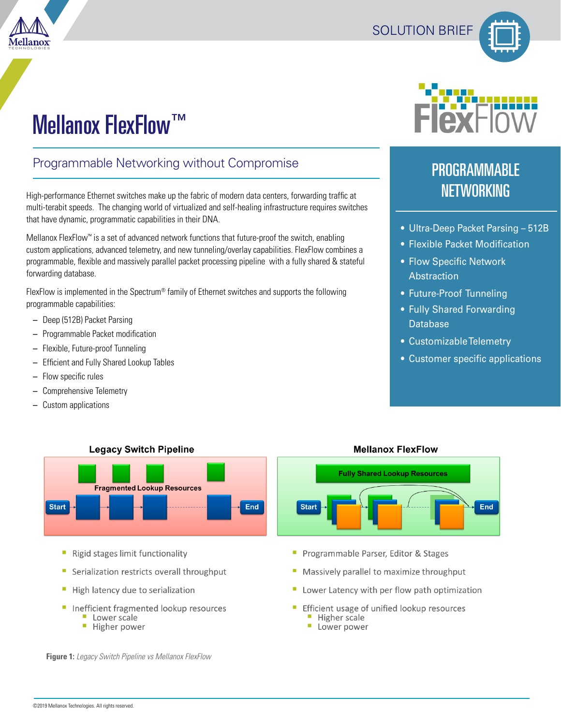



# Mellanox FlexFlow™

### Programmable Networking without Compromise

High-performance Ethernet switches make up the fabric of modern data centers, forwarding traffic at multi-terabit speeds. The changing world of virtualized and self-healing infrastructure requires switches that have dynamic, programmatic capabilities in their DNA.

Mellanox FlexFlow™ is a set of advanced network functions that future-proof the switch, enabling custom applications, advanced telemetry, and new tunneling/overlay capabilities. FlexFlow combines a programmable, flexible and massively parallel packet processing pipeline with a fully shared & stateful forwarding database.

FlexFlow is implemented in the Spectrum® family of Ethernet switches and supports the following programmable capabilities:

- Deep (512B) Packet Parsing
- Programmable Packet modification
- Flexible, Future-proof Tunneling
- Efficient and Fully Shared Lookup Tables
- Flow specific rules
- Comprehensive Telemetry
- Custom applications

## PROGRAMMABLE **NETWORKING**

- Ultra-Deep Packet Parsing 512B
- Flexible Packet Modification
- Flow Specific Network **Abstraction**
- Future-Proof Tunneling
- Fully Shared Forwarding **Database**
- Customizable Telemetry
- Customer specific applications

End



- Rigid stages limit functionality
- Serialization restricts overall throughput
- High latency due to serialization
- Inefficient fragmented lookup resources
	- Lower scale
	- **Higher power**

**Fully Shared Lookup Resources Start** 

**Mellanox FlexFlow** 

- Programmable Parser, Editor & Stages
- Massively parallel to maximize throughput
- Lower Latency with per flow path optimization
- Efficient usage of unified lookup resources
	- Higher scale
	- Lower power

**Figure 1:** *Legacy Switch Pipeline vs Mellanox FlexFlow*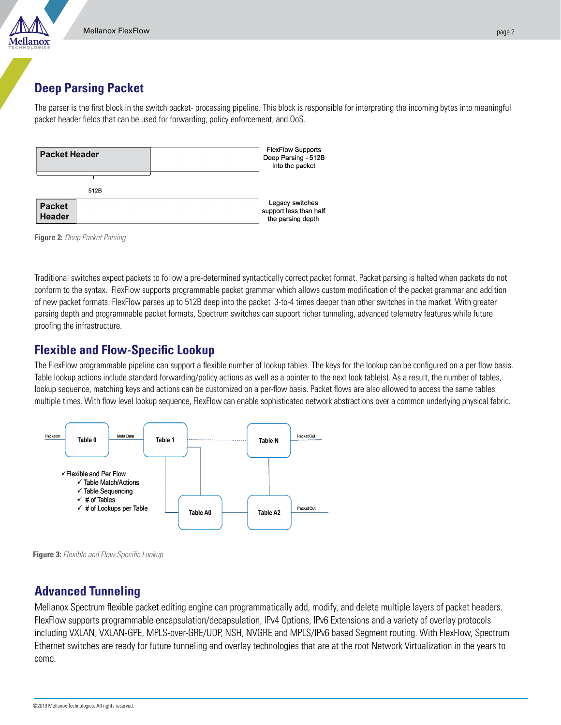#### **Deep Parsing Packet**

The parser is the first block in the switch packet- processing pipeline. This block is responsible for interpreting the incoming bytes into meaningful packet header fields that can be used for forwarding, policy enforcement, and QoS.

| <b>Packet Header</b>           | <b>FlexFlow Supports</b><br>Deep Parsing - 512B<br>into the packet |
|--------------------------------|--------------------------------------------------------------------|
| 512B                           |                                                                    |
| <b>Packet</b><br><b>Header</b> | Legacy switches<br>support less than half<br>the parsing depth     |

**Figure 2:** *Deep Packet Parsing*

Traditional switches expect packets to follow a pre-determined syntactically correct packet format. Packet parsing is halted when packets do not conform to the syntax. FlexFlow supports programmable packet grammar which allows custom modification of the packet grammar and addition of new packet formats. FlexFlow parses up to 512B deep into the packet 3-to-4 times deeper than other switches in the market. With greater parsing depth and programmable packet formats, Spectrum switches can support richer tunneling, advanced telemetry features while future proofing the infrastructure.

#### **Flexible and Flow-Specific Lookup**

The FlexFlow programmable pipeline can support a flexible number of lookup tables. The keys for the lookup can be configured on a per flow basis. Table lookup actions include standard forwarding/policy actions as well as a pointer to the next look table(s). As a result, the number of tables, lookup sequence, matching keys and actions can be customized on a per-flow basis. Packet flows are also allowed to access the same tables multiple times. With flow level lookup sequence, FlexFlow can enable sophisticated network abstractions over a common underlying physical fabric.





#### **Advanced Tunneling**

Mellanox Spectrum flexible packet editing engine can programmatically add, modify, and delete multiple layers of packet headers. FlexFlow supports programmable encapsulation/decapsulation, IPv4 Options, IPv6 Extensions and a variety of overlay protocols including VXLAN, VXLAN-GPE, MPLS-over-GRE/UDP, NSH, NVGRE and MPLS/IPv6 based Segment routing. With FlexFlow, Spectrum Ethernet switches are ready for future tunneling and overlay technologies that are at the root Network Virtualization in the years to come.